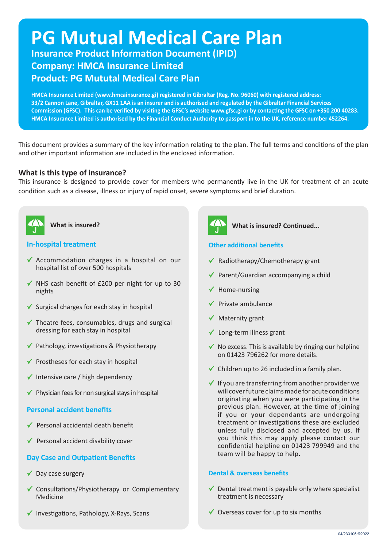# **PG Mutual Medical Care Plan**

**Insurance Product Information Document (IPID) Company: HMCA Insurance Limited Product: PG Mututal Medical Care Plan**

**HMCA Insurance Limited (www.hmcainsurance.gi) registered in Gibraltar (Reg. No. 96060) with registered address: 33/2 Cannon Lane, Gibraltar, GX11 1AA is an insurer and is authorised and regulated by the Gibraltar Financial Services Commission (GFSC). This can be verified by visiting the GFSC's website www.gfsc.gi or by contacting the GFSC on +350 200 40283. HMCA Insurance Limited is authorised by the Financial Conduct Authority to passport in to the UK, reference number 452264.**

This document provides a summary of the key information relating to the plan. The full terms and conditions of the plan and other important information are included in the enclosed information.

# **What is this type of insurance?**

This insurance is designed to provide cover for members who permanently live in the UK for treatment of an acute condition such as a disease, illness or injury of rapid onset, severe symptoms and brief duration.



**What is insured?**

# **In-hospital treatment**

- $\checkmark$  Accommodation charges in a hospital on our hospital list of over 500 hospitals
- $\checkmark$  NHS cash benefit of £200 per night for up to 30 nights
- $\checkmark$  Surgical charges for each stay in hospital
- $\checkmark$  Theatre fees, consumables, drugs and surgical dressing for each stay in hospital
- $\checkmark$  Pathology, investigations & Physiotherapy
- $\checkmark$  Prostheses for each stay in hospital
- $\checkmark$  Intensive care / high dependency
- $\checkmark$  Physician fees for non surgical stays in hospital

# **Personal accident benefits**

- Personal accidental death benefit
- $\checkmark$  Personal accident disability cover

# **Day Case and Outpatient Benefits**

- $\checkmark$  Day case surgery
- $\checkmark$  Consultations/Physiotherapy or Complementary Medicine
- $\checkmark$  Investigations, Pathology, X-Rays, Scans



## **What is insured? Continued...**

## **Other additional benefits**

- $\checkmark$  Radiotherapy/Chemotherapy grant
- $\checkmark$  Parent/Guardian accompanying a child
- $\checkmark$  Home-nursing
- $\checkmark$  Private ambulance
- $\checkmark$  Maternity grant
- $\checkmark$  Long-term illness grant
- $\checkmark$  No excess. This is available by ringing our helpline on 01423 796262 for more details.
- $\checkmark$  Children up to 26 included in a family plan.
- $\checkmark$  If you are transferring from another provider we will cover future claims made for acute conditions originating when you were participating in the previous plan. However, at the time of joining if you or your dependants are undergoing treatment or investigations these are excluded unless fully disclosed and accepted by us. If you think this may apply please contact our confidential helpline on 01423 799949 and the team will be happy to help.

#### **Dental & overseas benefits**

- $\checkmark$  Dental treatment is payable only where specialist treatment is necessary
- $\checkmark$  Overseas cover for up to six months